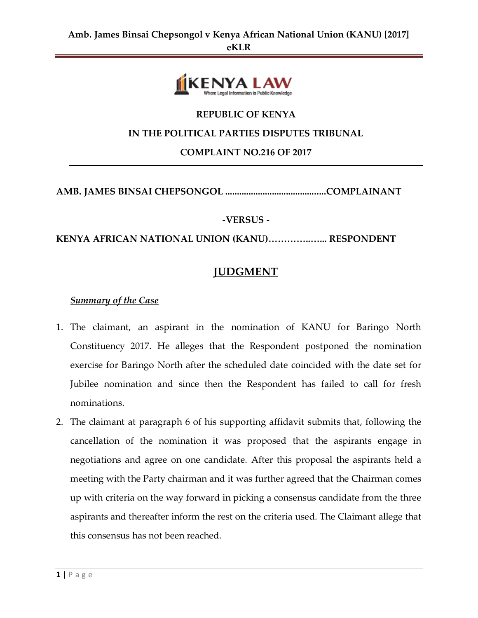

## **REPUBLIC OF KENYA**

### **IN THE POLITICAL PARTIES DISPUTES TRIBUNAL**

**COMPLAINT NO.216 OF 2017**

### **AMB. JAMES BINSAI CHEPSONGOL ...........................................COMPLAINANT**

### **-VERSUS -**

**KENYA AFRICAN NATIONAL UNION (KANU)…………..…... RESPONDENT**

# **JUDGMENT**

### *Summary of the Case*

- 1. The claimant, an aspirant in the nomination of KANU for Baringo North Constituency 2017. He alleges that the Respondent postponed the nomination exercise for Baringo North after the scheduled date coincided with the date set for Jubilee nomination and since then the Respondent has failed to call for fresh nominations.
- 2. The claimant at paragraph 6 of his supporting affidavit submits that, following the cancellation of the nomination it was proposed that the aspirants engage in negotiations and agree on one candidate. After this proposal the aspirants held a meeting with the Party chairman and it was further agreed that the Chairman comes up with criteria on the way forward in picking a consensus candidate from the three aspirants and thereafter inform the rest on the criteria used. The Claimant allege that this consensus has not been reached.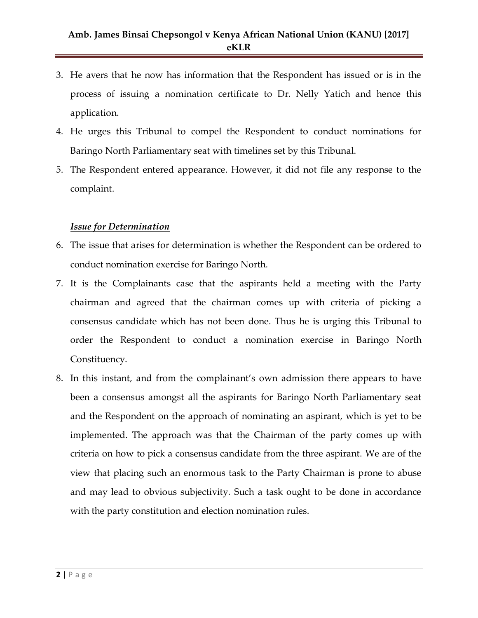- 3. He avers that he now has information that the Respondent has issued or is in the process of issuing a nomination certificate to Dr. Nelly Yatich and hence this application.
- 4. He urges this Tribunal to compel the Respondent to conduct nominations for Baringo North Parliamentary seat with timelines set by this Tribunal.
- 5. The Respondent entered appearance. However, it did not file any response to the complaint.

### *Issue for Determination*

- 6. The issue that arises for determination is whether the Respondent can be ordered to conduct nomination exercise for Baringo North.
- 7. It is the Complainants case that the aspirants held a meeting with the Party chairman and agreed that the chairman comes up with criteria of picking a consensus candidate which has not been done. Thus he is urging this Tribunal to order the Respondent to conduct a nomination exercise in Baringo North Constituency.
- 8. In this instant, and from the complainant's own admission there appears to have been a consensus amongst all the aspirants for Baringo North Parliamentary seat and the Respondent on the approach of nominating an aspirant, which is yet to be implemented. The approach was that the Chairman of the party comes up with criteria on how to pick a consensus candidate from the three aspirant. We are of the view that placing such an enormous task to the Party Chairman is prone to abuse and may lead to obvious subjectivity. Such a task ought to be done in accordance with the party constitution and election nomination rules.